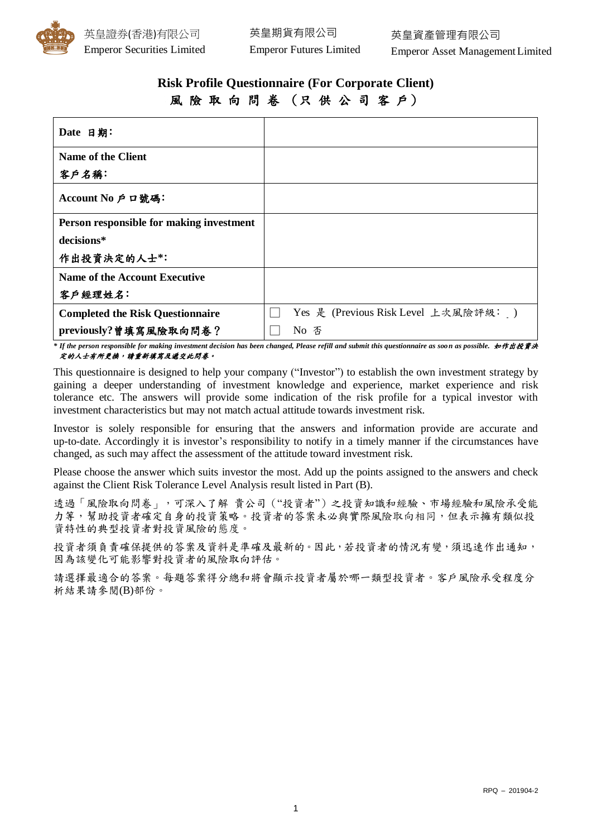

# **Risk Profile Questionnaire (For Corporate Client)** 風 險 取 向 問 卷 (只 供 公 司 客 戶)

| Date 日期:                                 |                                      |
|------------------------------------------|--------------------------------------|
| <b>Name of the Client</b>                |                                      |
| 客戶名稱:                                    |                                      |
| Account No 戶口號碼:                         |                                      |
| Person responsible for making investment |                                      |
| decisions*                               |                                      |
| 作出投資決定的人士*:                              |                                      |
| <b>Name of the Account Executive</b>     |                                      |
| 客户經理姓名:                                  |                                      |
| <b>Completed the Risk Questionnaire</b>  | Yes 是 (Previous Risk Level 上次風險評級: ) |
| previously?曾填寫風險取向問卷?                    | No 否                                 |

*\* If the person responsible for making investment decision has been changed, Please refill and submit this questionnaire as soon as possible.* 如作出投資決 定的人士有所更換,請重新填寫及遞交此問卷。

This questionnaire is designed to help your company ("Investor") to establish the own investment strategy by gaining a deeper understanding of investment knowledge and experience, market experience and risk tolerance etc. The answers will provide some indication of the risk profile for a typical investor with investment characteristics but may not match actual attitude towards investment risk.

Investor is solely responsible for ensuring that the answers and information provide are accurate and up-to-date. Accordingly it is investor's responsibility to notify in a timely manner if the circumstances have changed, as such may affect the assessment of the attitude toward investment risk.

Please choose the answer which suits investor the most. Add up the points assigned to the answers and check against the Client Risk Tolerance Level Analysis result listed in Part (B).

透過「風險取向問卷」,可深入了解 貴公司("投資者")之投資知識和經驗、市場經驗和風險承受能 力等,幫助投資者確定自身的投資策略。投資者的答案未必與實際風險取向相同,但表示擁有類似投 資特性的典型投資者對投資風險的態度。

投資者須負責確保提供的答案及資料是準確及最新的。因此,若投資者的情況有變,須迅速作出通知, 因為該變化可能影響對投資者的風險取向評估。

請選擇最適合的答案。每題答案得分總和將會顯示投資者屬於哪一類型投資者。客戶風險承受程度分 析結果請參閱(B)部份。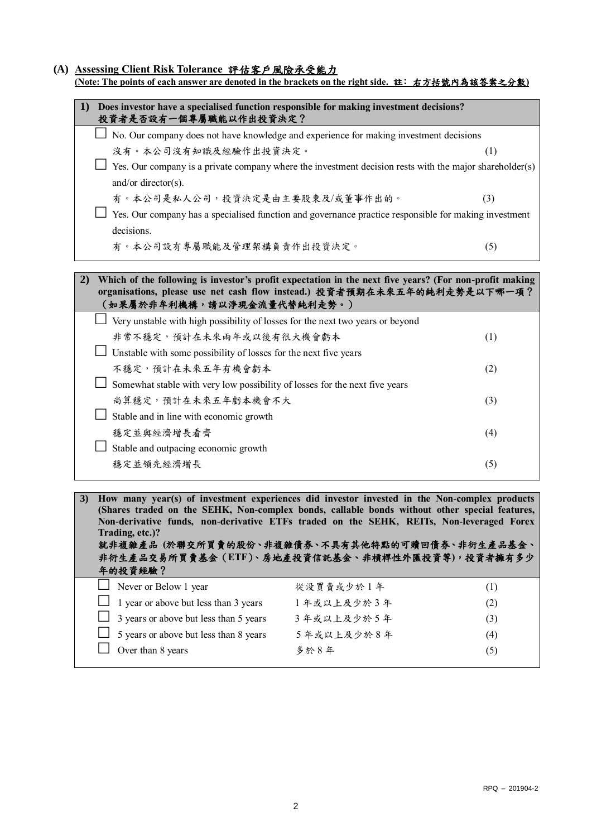#### **(A) Assessing Client Risk Tolerance** 評估客戶風險承受能力

| 1)<br>Does investor have a specialised function responsible for making investment decisions?<br>投資者是否設有一個專屬職能以作出投資決定?                                                                                                                                                                                                                                                                                                              |            |     |
|------------------------------------------------------------------------------------------------------------------------------------------------------------------------------------------------------------------------------------------------------------------------------------------------------------------------------------------------------------------------------------------------------------------------------------|------------|-----|
| No. Our company does not have knowledge and experience for making investment decisions                                                                                                                                                                                                                                                                                                                                             |            |     |
| 沒有。本公司沒有知識及經驗作出投資決定。                                                                                                                                                                                                                                                                                                                                                                                                               |            | (1) |
| $\Box$ Yes. Our company is a private company where the investment decision rests with the major shareholder(s)<br>and/or director( $s$ ).                                                                                                                                                                                                                                                                                          |            |     |
| 有。本公司是私人公司,投資決定是由主要股東及/或董事作出的。                                                                                                                                                                                                                                                                                                                                                                                                     |            | (3) |
| $\Box$ Yes. Our company has a specialised function and governance practice responsible for making investment<br>decisions.                                                                                                                                                                                                                                                                                                         |            |     |
| 有。本公司設有專屬職能及管理架構負責作出投資決定。                                                                                                                                                                                                                                                                                                                                                                                                          |            | (5) |
| Which of the following is investor's profit expectation in the next five years? (For non-profit making<br>2)<br>organisations, please use net cash flow instead.) 投資者預期在未來五年的純利走勢是以下哪一項?<br>(如果屬於非牟利機構,請以淨現金流量代替純利走勢。)<br>$\perp$ Very unstable with high possibility of losses for the next two years or beyond                                                                                                                   |            |     |
| 非常不穩定,預計在未來兩年或以後有很大機會虧本                                                                                                                                                                                                                                                                                                                                                                                                            |            | (1) |
| $\Box$ Unstable with some possibility of losses for the next five years                                                                                                                                                                                                                                                                                                                                                            |            |     |
| 不穩定,預計在未來五年有機會虧本                                                                                                                                                                                                                                                                                                                                                                                                                   | (2)        |     |
| Somewhat stable with very low possibility of losses for the next five years                                                                                                                                                                                                                                                                                                                                                        |            |     |
| 尚算穩定,預計在未來五年虧本機會不大<br>(3)                                                                                                                                                                                                                                                                                                                                                                                                          |            |     |
| Stable and in line with economic growth                                                                                                                                                                                                                                                                                                                                                                                            |            |     |
| 穩定並與經濟增長看齊                                                                                                                                                                                                                                                                                                                                                                                                                         |            | (4) |
| $\Box$ Stable and outpacing economic growth                                                                                                                                                                                                                                                                                                                                                                                        |            |     |
| 穩定並領先經濟增長                                                                                                                                                                                                                                                                                                                                                                                                                          |            | (5) |
|                                                                                                                                                                                                                                                                                                                                                                                                                                    |            |     |
| How many year(s) of investment experiences did investor invested in the Non-complex products<br>3)<br>(Shares traded on the SEHK, Non-complex bonds, callable bonds without other special features,<br>Non-derivative funds, non-derivative ETFs traded on the SEHK, REITs, Non-leveraged Forex<br>Trading, etc.)?<br>就非複雜產品 (於聯交所買賣的股份、非複雜債券、不具有其他特點的可贖回債券、非衍生產品基金、<br>非衍生產品交易所買賣基金(ETF)、房地產投資信託基金、非槓桿性外匯投資等), 投資者擁有多少<br>年的投資經驗? |            |     |
| Never or Below 1 year                                                                                                                                                                                                                                                                                                                                                                                                              | 從没買賣或少於1年  | (1) |
| 1 year or above but less than 3 years                                                                                                                                                                                                                                                                                                                                                                                              | 1年或以上及少於3年 | (2) |
| 3 years or above but less than 5 years                                                                                                                                                                                                                                                                                                                                                                                             | 3年或以上及少於5年 | (3) |
| 5 years or above but less than 8 years                                                                                                                                                                                                                                                                                                                                                                                             | 5年或以上及少於8年 | (4) |
| Over than 8 years                                                                                                                                                                                                                                                                                                                                                                                                                  | 多於8年       |     |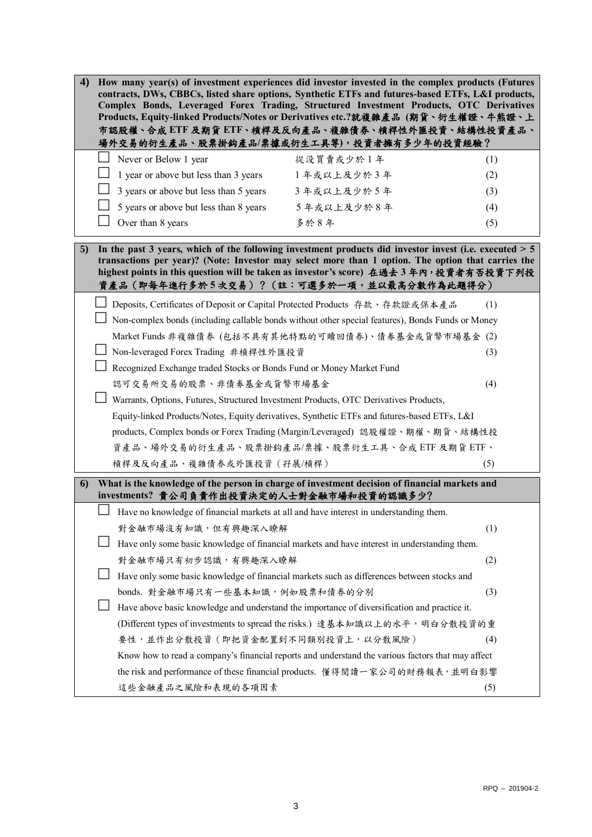| 4) |                                                                                                                                                                                                                                                                                                                                                     |                                                                                        | How many year(s) of investment experiences did investor invested in the complex products (Futures<br>contracts, DWs, CBBCs, listed share options, Synthetic ETFs and futures-based ETFs, L&I products,<br>Complex Bonds, Leveraged Forex Trading, Structured Investment Products, OTC Derivatives<br>Products, Equity-linked Products/Notes or Derivatives etc.?就複雜產品(期貨、衍生權證、牛熊證、上<br>市認股權、合成 ETF 及期貨 ETF、槓桿及反向產品、複雜債券、槓桿性外匯投資、結構性投資產品、<br>場外交易的衍生產品、股票掛鈎產品/票據或衍生工具等),投資者擁有多少年的投資經驗? |     |  |
|----|-----------------------------------------------------------------------------------------------------------------------------------------------------------------------------------------------------------------------------------------------------------------------------------------------------------------------------------------------------|----------------------------------------------------------------------------------------|---------------------------------------------------------------------------------------------------------------------------------------------------------------------------------------------------------------------------------------------------------------------------------------------------------------------------------------------------------------------------------------------------------------------------------------------------------------------------------------|-----|--|
|    |                                                                                                                                                                                                                                                                                                                                                     | Never or Below 1 year                                                                  | 從没買賣或少於1年                                                                                                                                                                                                                                                                                                                                                                                                                                                                             | (1) |  |
|    |                                                                                                                                                                                                                                                                                                                                                     | 1 year or above but less than 3 years                                                  | 1年或以上及少於3年                                                                                                                                                                                                                                                                                                                                                                                                                                                                            | (2) |  |
|    |                                                                                                                                                                                                                                                                                                                                                     | 3 years or above but less than 5 years                                                 | 3年或以上及少於5年                                                                                                                                                                                                                                                                                                                                                                                                                                                                            | (3) |  |
|    |                                                                                                                                                                                                                                                                                                                                                     | 5 years or above but less than 8 years                                                 | 5年或以上及少於8年                                                                                                                                                                                                                                                                                                                                                                                                                                                                            | (4) |  |
|    |                                                                                                                                                                                                                                                                                                                                                     | Over than 8 years                                                                      | 多於8年                                                                                                                                                                                                                                                                                                                                                                                                                                                                                  | (5) |  |
| 5) | In the past 3 years, which of the following investment products did investor invest (i.e. executed $> 5$<br>transactions per year)? (Note: Investor may select more than 1 option. The option that carries the<br>highest points in this question will be taken as investor's score) 在過去3年內, 投資者有否投資下列投<br>資產品(即每年進行多於5次交易)?(註:可選多於一項,並以最高分數作為此題得分) |                                                                                        |                                                                                                                                                                                                                                                                                                                                                                                                                                                                                       |     |  |
|    |                                                                                                                                                                                                                                                                                                                                                     | Deposits, Certificates of Deposit or Capital Protected Products 存款、存款證或保本產品            |                                                                                                                                                                                                                                                                                                                                                                                                                                                                                       | (1) |  |
|    |                                                                                                                                                                                                                                                                                                                                                     |                                                                                        | Non-complex bonds (including callable bonds without other special features), Bonds Funds or Money                                                                                                                                                                                                                                                                                                                                                                                     |     |  |
|    | Market Funds 非複雜債券 (包括不具有其他特點的可贖回債券)、債券基金或貨幣市場基金(2)                                                                                                                                                                                                                                                                                                 |                                                                                        |                                                                                                                                                                                                                                                                                                                                                                                                                                                                                       |     |  |
|    | Non-leveraged Forex Trading 非槓桿性外匯投資<br>(3)                                                                                                                                                                                                                                                                                                         |                                                                                        |                                                                                                                                                                                                                                                                                                                                                                                                                                                                                       |     |  |
|    | Recognized Exchange traded Stocks or Bonds Fund or Money Market Fund                                                                                                                                                                                                                                                                                |                                                                                        |                                                                                                                                                                                                                                                                                                                                                                                                                                                                                       |     |  |
|    | 認可交易所交易的股票、非債券基金或貨幣市場基金<br>(4)                                                                                                                                                                                                                                                                                                                      |                                                                                        |                                                                                                                                                                                                                                                                                                                                                                                                                                                                                       |     |  |
|    | Warrants, Options, Futures, Structured Investment Products, OTC Derivatives Products,                                                                                                                                                                                                                                                               |                                                                                        |                                                                                                                                                                                                                                                                                                                                                                                                                                                                                       |     |  |
|    | Equity-linked Products/Notes, Equity derivatives, Synthetic ETFs and futures-based ETFs, L&I                                                                                                                                                                                                                                                        |                                                                                        |                                                                                                                                                                                                                                                                                                                                                                                                                                                                                       |     |  |
|    | products, Complex bonds or Forex Trading (Margin/Leveraged) 認股權證、期權、期貨、結構性投                                                                                                                                                                                                                                                                         |                                                                                        |                                                                                                                                                                                                                                                                                                                                                                                                                                                                                       |     |  |
|    | 資產品、場外交易的衍生產品、股票掛鈎產品/票據、股票衍生工具、合成 ETF 及期貨 ETF、                                                                                                                                                                                                                                                                                                      |                                                                                        |                                                                                                                                                                                                                                                                                                                                                                                                                                                                                       |     |  |
|    |                                                                                                                                                                                                                                                                                                                                                     | 槓桿及反向產品、複雜債券或外匯投資(孖展/槓桿)                                                               |                                                                                                                                                                                                                                                                                                                                                                                                                                                                                       | (5) |  |
| 6) | What is the knowledge of the person in charge of investment decision of financial markets and<br>investments? 貴公司負責作出投資決定的人士對金融市場和投資的認識多少?                                                                                                                                                                                                          |                                                                                        |                                                                                                                                                                                                                                                                                                                                                                                                                                                                                       |     |  |
|    |                                                                                                                                                                                                                                                                                                                                                     | Have no knowledge of financial markets at all and have interest in understanding them. |                                                                                                                                                                                                                                                                                                                                                                                                                                                                                       |     |  |
|    |                                                                                                                                                                                                                                                                                                                                                     | 對金融市場沒有知識,但有興趣深入瞭解                                                                     |                                                                                                                                                                                                                                                                                                                                                                                                                                                                                       | (1) |  |
|    |                                                                                                                                                                                                                                                                                                                                                     |                                                                                        | Have only some basic knowledge of financial markets and have interest in understanding them.                                                                                                                                                                                                                                                                                                                                                                                          |     |  |
|    |                                                                                                                                                                                                                                                                                                                                                     | 對金融市場只有初步認識,有興趣深入瞭解                                                                    |                                                                                                                                                                                                                                                                                                                                                                                                                                                                                       | (2) |  |
|    |                                                                                                                                                                                                                                                                                                                                                     |                                                                                        | Have only some basic knowledge of financial markets such as differences between stocks and                                                                                                                                                                                                                                                                                                                                                                                            |     |  |
|    |                                                                                                                                                                                                                                                                                                                                                     | bonds. 對金融市場只有一些基本知識, 例如股票和債券的分別                                                       |                                                                                                                                                                                                                                                                                                                                                                                                                                                                                       | (3) |  |
|    |                                                                                                                                                                                                                                                                                                                                                     |                                                                                        | Have above basic knowledge and understand the importance of diversification and practice it.                                                                                                                                                                                                                                                                                                                                                                                          |     |  |
|    |                                                                                                                                                                                                                                                                                                                                                     |                                                                                        | (Different types of investments to spread the risks.) 達基本知識以上的水平, 明白分散投資的重                                                                                                                                                                                                                                                                                                                                                                                                            |     |  |
|    |                                                                                                                                                                                                                                                                                                                                                     | 要性,並作出分散投資 (即把資金配置到不同類別投資上,以分散風險)                                                      |                                                                                                                                                                                                                                                                                                                                                                                                                                                                                       | (4) |  |
|    |                                                                                                                                                                                                                                                                                                                                                     |                                                                                        | Know how to read a company's financial reports and understand the various factors that may affect                                                                                                                                                                                                                                                                                                                                                                                     |     |  |
|    |                                                                                                                                                                                                                                                                                                                                                     |                                                                                        | the risk and performance of these financial products. 懂得閱讀一家公司的財務報表, 並明白影響                                                                                                                                                                                                                                                                                                                                                                                                            |     |  |
|    |                                                                                                                                                                                                                                                                                                                                                     | 這些金融產品之風險和表現的各項因素                                                                      |                                                                                                                                                                                                                                                                                                                                                                                                                                                                                       | (5) |  |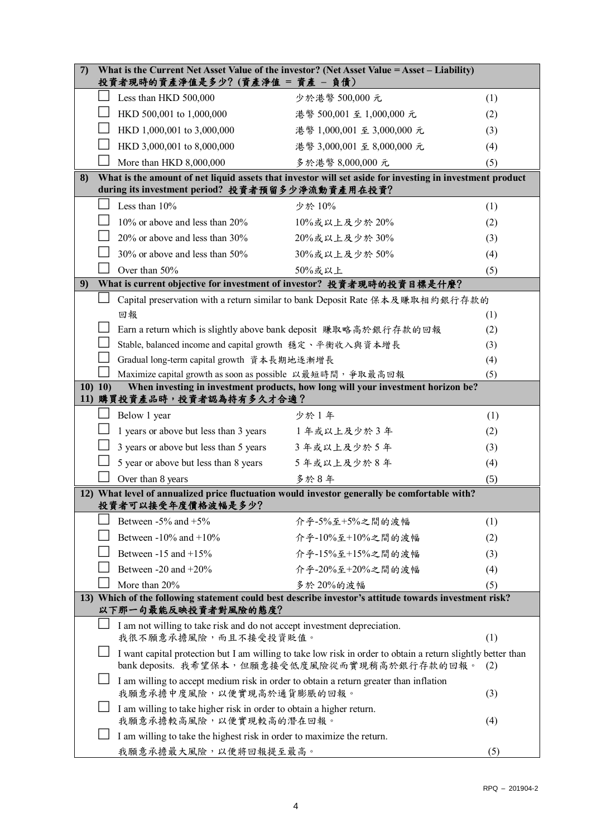| 7)                                                                                                                           | What is the Current Net Asset Value of the investor? (Net Asset Value = Asset – Liability)<br>投資者現時的資產淨值是多少? (資產淨值 = 資產 - 負債)                                         |                                                                                  |     |  |
|------------------------------------------------------------------------------------------------------------------------------|-----------------------------------------------------------------------------------------------------------------------------------------------------------------------|----------------------------------------------------------------------------------|-----|--|
|                                                                                                                              | Less than HKD 500,000                                                                                                                                                 | 少於港幣 500,000 元                                                                   | (1) |  |
|                                                                                                                              | HKD 500,001 to 1,000,000                                                                                                                                              | 港幣 500,001 至 1,000,000 元                                                         | (2) |  |
|                                                                                                                              | HKD 1,000,001 to 3,000,000                                                                                                                                            | 港幣 1,000,001 至 3,000,000 元                                                       | (3) |  |
|                                                                                                                              | HKD 3,000,001 to 8,000,000                                                                                                                                            | 港幣 3,000,001 至 8,000,000 元                                                       | (4) |  |
|                                                                                                                              | More than HKD 8,000,000                                                                                                                                               | 多於港幣 8,000,000 元                                                                 | (5) |  |
| 8)                                                                                                                           | What is the amount of net liquid assets that investor will set aside for investing in investment product<br>during its investment period? 投資者預留多少淨流動資產用在投資?           |                                                                                  |     |  |
|                                                                                                                              | Less than 10%                                                                                                                                                         | 少於 10%                                                                           | (1) |  |
|                                                                                                                              | 10% or above and less than 20%                                                                                                                                        | 10%或以上及少於20%                                                                     | (2) |  |
|                                                                                                                              | 20% or above and less than 30%                                                                                                                                        | 20%或以上及少於30%                                                                     | (3) |  |
|                                                                                                                              | 30% or above and less than 50%                                                                                                                                        | 30%或以上及少於50%                                                                     | (4) |  |
|                                                                                                                              | Over than 50%                                                                                                                                                         | 50%或以上                                                                           | (5) |  |
| 9)                                                                                                                           | What is current objective for investment of investor? 投資者現時的投資目標是什麼?                                                                                                  |                                                                                  |     |  |
|                                                                                                                              |                                                                                                                                                                       | Capital preservation with a return similar to bank Deposit Rate 保本及賺取相約銀行存款的     |     |  |
|                                                                                                                              | 回報                                                                                                                                                                    |                                                                                  | (1) |  |
|                                                                                                                              | Earn a return which is slightly above bank deposit 賺取略高於銀行存款的回報                                                                                                       |                                                                                  | (2) |  |
|                                                                                                                              |                                                                                                                                                                       | Stable, balanced income and capital growth 穩定、平衡收入與資本增長<br>(3)                   |     |  |
|                                                                                                                              | Gradual long-term capital growth 資本長期地逐漸增長<br>(4)                                                                                                                     |                                                                                  |     |  |
|                                                                                                                              | Maximize capital growth as soon as possible 以最短時間, 爭取最高回報                                                                                                             |                                                                                  | (5) |  |
| 10) 10)                                                                                                                      | 11) 購買投資產品時,投資者認為持有多久才合適?                                                                                                                                             | When investing in investment products, how long will your investment horizon be? |     |  |
|                                                                                                                              | Below 1 year                                                                                                                                                          | 少於1年                                                                             | (1) |  |
|                                                                                                                              | 1 years or above but less than 3 years                                                                                                                                | 1年或以上及少於3年                                                                       | (2) |  |
|                                                                                                                              | 3 years or above but less than 5 years                                                                                                                                | 3年或以上及少於5年                                                                       | (3) |  |
|                                                                                                                              | 5 year or above but less than 8 years                                                                                                                                 | 5年或以上及少於8年                                                                       | (4) |  |
|                                                                                                                              | Over than 8 years                                                                                                                                                     | 多於8年                                                                             | (5) |  |
|                                                                                                                              | 12) What level of annualized price fluctuation would investor generally be comfortable with?<br>投資者可以接受年度價格波幅是多少?                                                     |                                                                                  |     |  |
|                                                                                                                              | Between $-5\%$ and $+5\%$                                                                                                                                             | 介乎-5%至+5%之間的波幅                                                                   | (1) |  |
|                                                                                                                              | Between $-10\%$ and $+10\%$                                                                                                                                           | 介乎-10%至+10%之間的波幅                                                                 | (2) |  |
|                                                                                                                              | Between $-15$ and $+15\%$                                                                                                                                             | 介乎-15%至+15%之間的波幅                                                                 | (3) |  |
|                                                                                                                              | Between -20 and +20%                                                                                                                                                  | 介乎-20%至+20%之間的波幅                                                                 | (4) |  |
|                                                                                                                              | More than 20%                                                                                                                                                         | 多於20%的波幅                                                                         | (5) |  |
| 13) Which of the following statement could best describe investor's attitude towards investment risk?<br>以下那一句最能反映投資者對風險的態度? |                                                                                                                                                                       |                                                                                  |     |  |
| I am not willing to take risk and do not accept investment depreciation.                                                     |                                                                                                                                                                       |                                                                                  |     |  |
|                                                                                                                              | 我很不願意承擔風險,而且不接受投資貶值。<br>(1)                                                                                                                                           |                                                                                  |     |  |
|                                                                                                                              | I want capital protection but I am willing to take low risk in order to obtain a return slightly better than<br>bank deposits. 我希望保本, 但願意接受低度風險從而實現稍高於銀行存款的回報。<br>(2) |                                                                                  |     |  |
|                                                                                                                              | I am willing to accept medium risk in order to obtain a return greater than inflation<br>我願意承擔中度風險,以便實現高於通貨膨脹的回報。<br>(3)                                              |                                                                                  |     |  |
|                                                                                                                              | I am willing to take higher risk in order to obtain a higher return.<br>我願意承擔較高風險,以便實現較高的潛在回報。                                                                        |                                                                                  | (4) |  |
|                                                                                                                              | I am willing to take the highest risk in order to maximize the return.                                                                                                |                                                                                  |     |  |
|                                                                                                                              | 我願意承擔最大風險,以便將回報提至最高。                                                                                                                                                  |                                                                                  | (5) |  |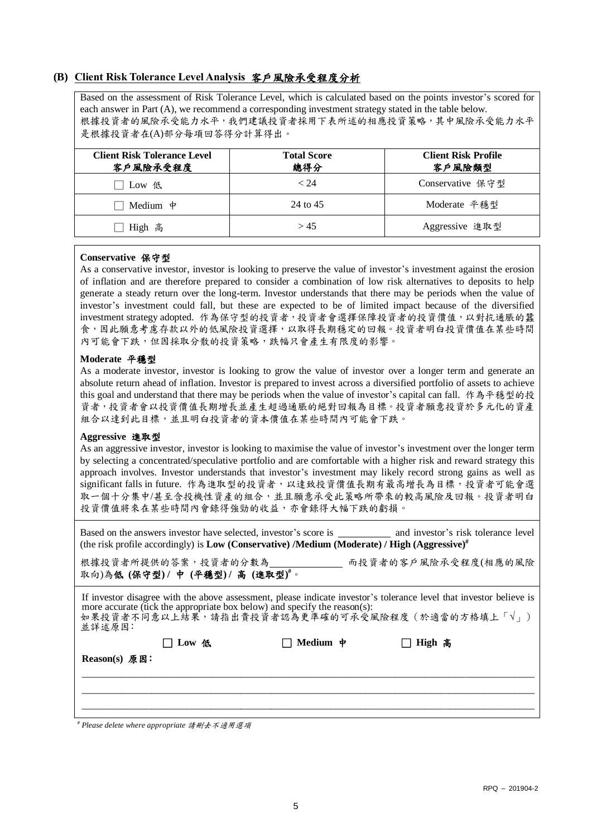## **(B) Client Risk Tolerance Level Analysis** 客戶風險承受程度分析

Based on the assessment of Risk Tolerance Level, which is calculated based on the points investor's scored for each answer in Part (A), we recommend a corresponding investment strategy stated in the table below. 根據投資者的風險承受能力水平,我們建議投資者採用下表所述的相應投資策略,其中風險承受能力水平 是根據投資者在(A)部分每項回答得分計算得出。

| <b>Client Risk Tolerance Level</b><br>客户風險承受程度 | <b>Total Score</b><br>總得分 | <b>Client Risk Profile</b><br>客戶風險類型 |
|------------------------------------------------|---------------------------|--------------------------------------|
| Low $#$                                        | < 24                      | Conservative 保守型                     |
| Medium $\psi$                                  | 24 to 45                  | Moderate 平穩型                         |
| High 高                                         | > 45                      | Aggressive 進取型                       |

### **Conservative** 保守型

As a conservative investor, investor is looking to preserve the value of investor's investment against the erosion of inflation and are therefore prepared to consider a combination of low risk alternatives to deposits to help generate a steady return over the long-term. Investor understands that there may be periods when the value of investor's investment could fall, but these are expected to be of limited impact because of the diversified investment strategy adopted. 作為保守型的投資者,投資者會選擇保障投資者的投資價值,以對抗通脹的蠶 食,因此願意考慮存款以外的低風險投資選擇,以取得長期穩定的回報。投資者明白投資價值在某些時間 內可能會下跌,但因採取分散的投資策略,跌幅只會產生有限度的影響。

#### **Moderate** 平穩型

As a moderate investor, investor is looking to grow the value of investor over a longer term and generate an absolute return ahead of inflation. Investor is prepared to invest across a diversified portfolio of assets to achieve this goal and understand that there may be periods when the value of investor's capital can fall. 作為平穩型的投 資者,投資者會以投資價值長期增長並產生超過通脹的絕對回報為目標。投資者願意投資於多元化的資產 組合以達到此目標,並且明白投資者的資本價值在某些時間內可能會下跌。

#### **Aggressive** 進取型

As an aggressive investor, investor is looking to maximise the value of investor's investment over the longer term by selecting a concentrated/speculative portfolio and are comfortable with a higher risk and reward strategy this approach involves. Investor understands that investor's investment may likely record strong gains as well as significant falls in future. 作為進取型的投資者,以達致投資價值長期有最高增長為目標,投資者可能會選 取一個十分集中/甚至含投機性資產的組合,並且願意承受此策略所帶來的較高風險及回報。投資者明白 投資價值將來在某些時間內會錄得強勁的收益,亦會錄得大幅下跌的虧損。

Based on the answers investor have selected, investor's score is and investor's risk tolerance level (the risk profile accordingly) is **Low (Conservative) /Medium (Moderate) / High (Aggressive)#**

根據投資者所提供的答案,投資者的分數為 而投資者的客戶風險承受程度(相應的風險 取向)為低 **(**保守型**) /** 中 **(**平穩型**) /** 高 **(**進取型**) #**。

| If investor disagree with the above assessment, please indicate investor's tolerance level that investor believe is<br>more accurate (tick the appropriate box below) and specify the reason(s):<br>如果投資者不同意以上結果, 請指出貴投資者認為更準確的可承受風險程度 (於適當的方格填上「√」)<br>並詳述原因: |                 |                                      |          |  |
|----------------------------------------------------------------------------------------------------------------------------------------------------------------------------------------------------------------------------------------------------------------|-----------------|--------------------------------------|----------|--|
|                                                                                                                                                                                                                                                                | $\Box$ Low $\&$ | $\Box$ Medium $\,\,\mathtt{\dot{P}}$ | □ High 高 |  |
| Reason(s) 原因:                                                                                                                                                                                                                                                  |                 |                                      |          |  |
|                                                                                                                                                                                                                                                                |                 |                                      |          |  |
|                                                                                                                                                                                                                                                                |                 |                                      |          |  |

*# Please delete where appropriate* 請刪去不適用選項